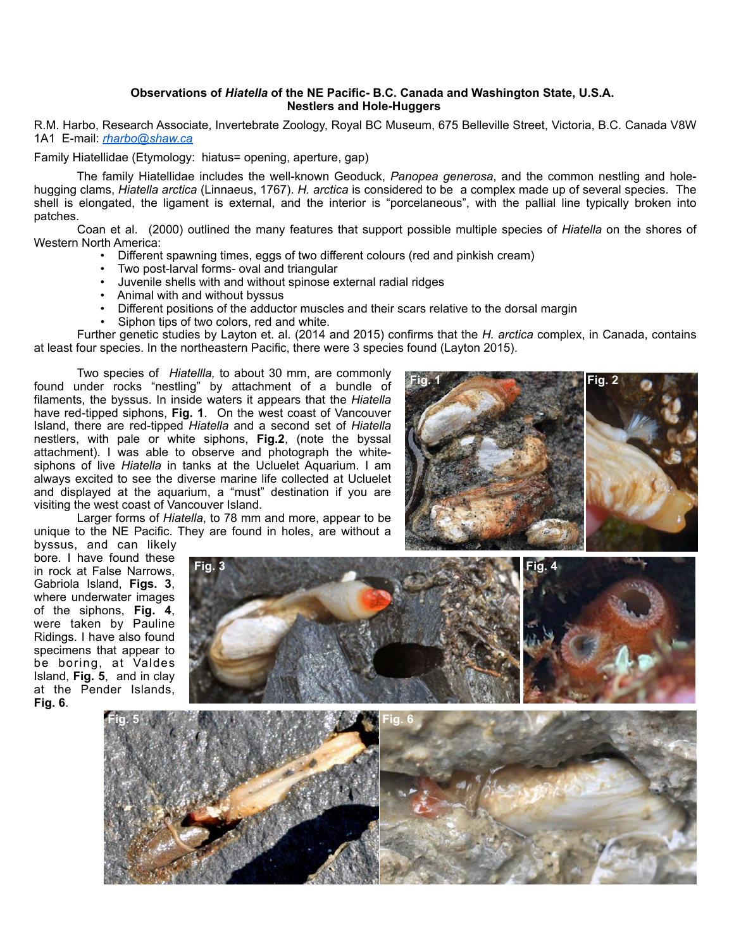## **Observations of** *Hiatella* **of the NE Pacific- B.C. Canada and Washington State, U.S.A. Nestlers and Hole-Huggers**

R.M. Harbo, Research Associate, Invertebrate Zoology, Royal BC Museum, 675 Belleville Street, Victoria, B.C. Canada V8W 1A1 E-mail: *[rharbo@shaw.ca](mailto:rharbo@shaw.ca)*

Family Hiatellidae (Etymology: hiatus= opening, aperture, gap)

 The family Hiatellidae includes the well-known Geoduck, *Panopea generosa*, and the common nestling and holehugging clams, *Hiatella arctica* (Linnaeus, 1767). *H. arctica* is considered to be a complex made up of several species. The shell is elongated, the ligament is external, and the interior is "porcelaneous", with the pallial line typically broken into patches.

 Coan et al. (2000) outlined the many features that support possible multiple species of *Hiatella* on the shores of Western North America:

- Different spawning times, eggs of two different colours (red and pinkish cream)
- Two post-larval forms- oval and triangular
- Juvenile shells with and without spinose external radial ridges
- Animal with and without byssus
- Different positions of the adductor muscles and their scars relative to the dorsal margin
- Siphon tips of two colors, red and white.

 Further genetic studies by Layton et. al. (2014 and 2015) confirms that the *H. arctica* complex, in Canada, contains at least four species. In the northeastern Pacific, there were 3 species found (Layton 2015).

**Fig. 3 Fig. 4**

 Two species of *Hiatellla,* to about 30 mm, are commonly found under rocks "nestling" by attachment of a bundle of filaments, the byssus. In inside waters it appears that the *Hiatella* have red-tipped siphons, **Fig. 1**. On the west coast of Vancouver Island, there are red-tipped *Hiatella* and a second set of *Hiatella* nestlers, with pale or white siphons, **Fig.2**, (note the byssal attachment). I was able to observe and photograph the whitesiphons of live *Hiatella* in tanks at the Ucluelet Aquarium. I am always excited to see the diverse marine life collected at Ucluelet and displayed at the aquarium, a "must" destination if you are visiting the west coast of Vancouver Island.

 Larger forms of *Hiatella*, to 78 mm and more, appear to be unique to the NE Pacific. They are found in holes, are without a



byssus, and can likely bore. I have found these in rock at False Narrows, Gabriola Island, **Figs. 3**, where underwater images of the siphons, **Fig. 4**, were taken by Pauline Ridings. I have also found specimens that appear to be boring, at Valdes Island, **Fig. 5**, and in clay at the Pender Islands, **Fig. 6**.